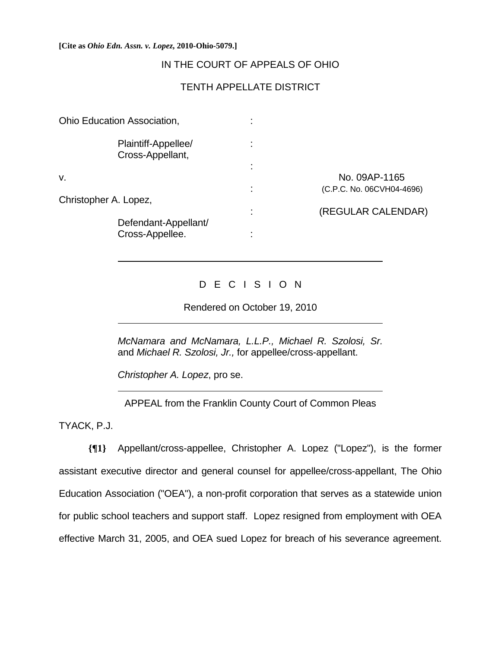#### **[Cite as** *Ohio Edn. Assn. v. Lopez***, 2010-Ohio-5079.]**

## IN THE COURT OF APPEALS OF OHIO

# TENTH APPELLATE DISTRICT

| Ohio Education Association,             | ٠ |                           |
|-----------------------------------------|---|---------------------------|
| Plaintiff-Appellee/<br>Cross-Appellant, |   |                           |
|                                         |   |                           |
| v.                                      |   | No. 09AP-1165             |
|                                         | ٠ | (C.P.C. No. 06CVH04-4696) |
| Christopher A. Lopez,                   |   |                           |
|                                         | ٠ | (REGULAR CALENDAR)        |
| Defendant-Appellant/                    |   |                           |
| Cross-Appellee.                         |   |                           |
|                                         |   |                           |

## D E C I S I O N

Rendered on October 19, 2010

*McNamara and McNamara, L.L.P., Michael R. Szolosi, Sr.* and *Michael R. Szolosi, Jr.,* for appellee/cross-appellant.

*Christopher A. Lopez*, pro se.

APPEAL from the Franklin County Court of Common Pleas

TYACK, P.J.

 $\overline{a}$ 

 $\overline{a}$ 

 $\overline{a}$ 

**{¶1}** Appellant/cross-appellee, Christopher A. Lopez ("Lopez"), is the former assistant executive director and general counsel for appellee/cross-appellant, The Ohio Education Association ("OEA"), a non-profit corporation that serves as a statewide union for public school teachers and support staff. Lopez resigned from employment with OEA effective March 31, 2005, and OEA sued Lopez for breach of his severance agreement.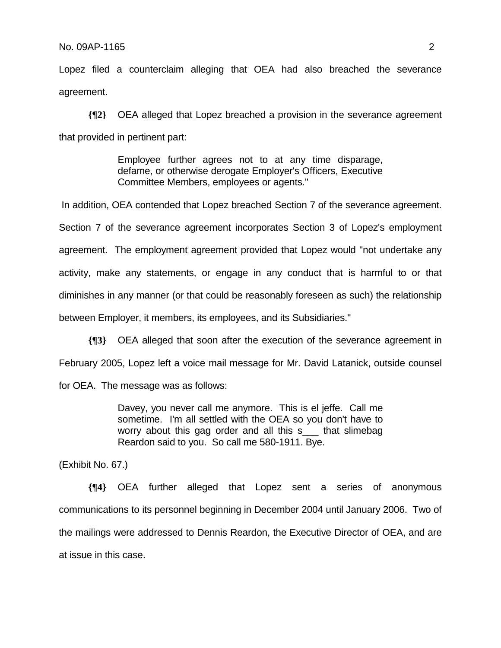### No. 09AP-1165 2

Lopez filed a counterclaim alleging that OEA had also breached the severance agreement.

**{¶2}** OEA alleged that Lopez breached a provision in the severance agreement that provided in pertinent part:

> Employee further agrees not to at any time disparage, defame, or otherwise derogate Employer's Officers, Executive Committee Members, employees or agents."

 In addition, OEA contended that Lopez breached Section 7 of the severance agreement. Section 7 of the severance agreement incorporates Section 3 of Lopez's employment agreement. The employment agreement provided that Lopez would "not undertake any activity, make any statements, or engage in any conduct that is harmful to or that diminishes in any manner (or that could be reasonably foreseen as such) the relationship between Employer, it members, its employees, and its Subsidiaries."

**{¶3}** OEA alleged that soon after the execution of the severance agreement in February 2005, Lopez left a voice mail message for Mr. David Latanick, outside counsel for OEA. The message was as follows:

> Davey, you never call me anymore. This is el jeffe. Call me sometime. I'm all settled with the OEA so you don't have to worry about this gag order and all this s\_\_\_ that slimebag Reardon said to you. So call me 580-1911. Bye.

(Exhibit No. 67.)

**{¶4}** OEA further alleged that Lopez sent a series of anonymous communications to its personnel beginning in December 2004 until January 2006. Two of the mailings were addressed to Dennis Reardon, the Executive Director of OEA, and are at issue in this case.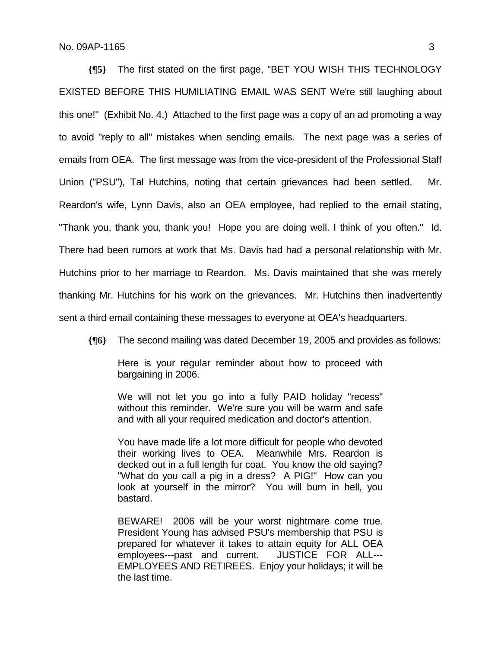**{¶5}** The first stated on the first page, "BET YOU WISH THIS TECHNOLOGY EXISTED BEFORE THIS HUMILIATING EMAIL WAS SENT We're still laughing about this one!" (Exhibit No. 4.) Attached to the first page was a copy of an ad promoting a way to avoid "reply to all" mistakes when sending emails. The next page was a series of emails from OEA. The first message was from the vice-president of the Professional Staff Union ("PSU"), Tal Hutchins, noting that certain grievances had been settled. Mr. Reardon's wife, Lynn Davis, also an OEA employee, had replied to the email stating, "Thank you, thank you, thank you! Hope you are doing well. I think of you often." Id. There had been rumors at work that Ms. Davis had had a personal relationship with Mr. Hutchins prior to her marriage to Reardon. Ms. Davis maintained that she was merely thanking Mr. Hutchins for his work on the grievances. Mr. Hutchins then inadvertently sent a third email containing these messages to everyone at OEA's headquarters.

**{¶6}** The second mailing was dated December 19, 2005 and provides as follows:

Here is your regular reminder about how to proceed with bargaining in 2006.

We will not let you go into a fully PAID holiday "recess" without this reminder. We're sure you will be warm and safe and with all your required medication and doctor's attention.

You have made life a lot more difficult for people who devoted their working lives to OEA. Meanwhile Mrs. Reardon is decked out in a full length fur coat. You know the old saying? "What do you call a pig in a dress? A PIG!" How can you look at yourself in the mirror? You will burn in hell, you bastard.

BEWARE! 2006 will be your worst nightmare come true. President Young has advised PSU's membership that PSU is prepared for whatever it takes to attain equity for ALL OEA employees---past and current. JUSTICE FOR ALL--- EMPLOYEES AND RETIREES. Enjoy your holidays; it will be the last time.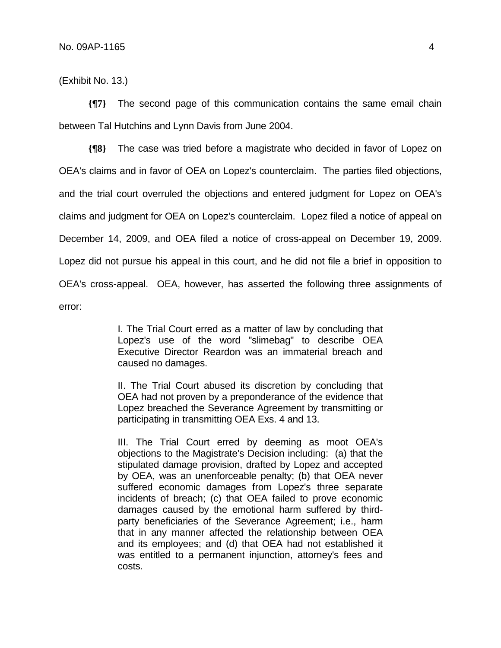(Exhibit No. 13.)

**{¶7}** The second page of this communication contains the same email chain between Tal Hutchins and Lynn Davis from June 2004.

**{¶8}** The case was tried before a magistrate who decided in favor of Lopez on OEA's claims and in favor of OEA on Lopez's counterclaim. The parties filed objections, and the trial court overruled the objections and entered judgment for Lopez on OEA's claims and judgment for OEA on Lopez's counterclaim. Lopez filed a notice of appeal on December 14, 2009, and OEA filed a notice of cross-appeal on December 19, 2009. Lopez did not pursue his appeal in this court, and he did not file a brief in opposition to OEA's cross-appeal. OEA, however, has asserted the following three assignments of error:

> I. The Trial Court erred as a matter of law by concluding that Lopez's use of the word "slimebag" to describe OEA Executive Director Reardon was an immaterial breach and caused no damages.

> II. The Trial Court abused its discretion by concluding that OEA had not proven by a preponderance of the evidence that Lopez breached the Severance Agreement by transmitting or participating in transmitting OEA Exs. 4 and 13.

> III. The Trial Court erred by deeming as moot OEA's objections to the Magistrate's Decision including: (a) that the stipulated damage provision, drafted by Lopez and accepted by OEA, was an unenforceable penalty; (b) that OEA never suffered economic damages from Lopez's three separate incidents of breach; (c) that OEA failed to prove economic damages caused by the emotional harm suffered by thirdparty beneficiaries of the Severance Agreement; i.e., harm that in any manner affected the relationship between OEA and its employees; and (d) that OEA had not established it was entitled to a permanent injunction, attorney's fees and costs.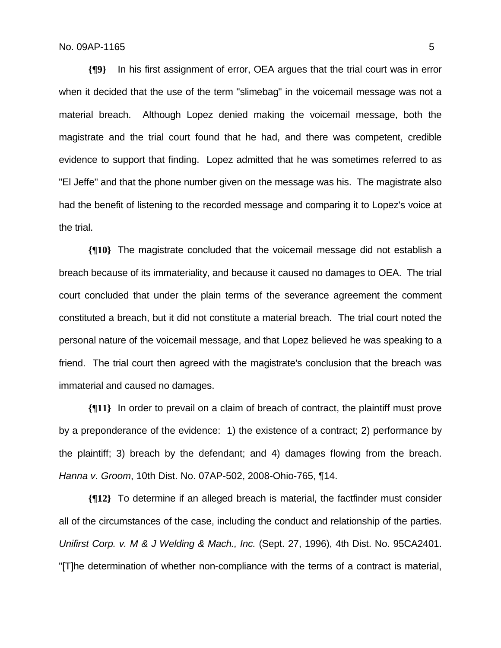**{¶9}** In his first assignment of error, OEA argues that the trial court was in error when it decided that the use of the term "slimebag" in the voicemail message was not a material breach. Although Lopez denied making the voicemail message, both the magistrate and the trial court found that he had, and there was competent, credible evidence to support that finding. Lopez admitted that he was sometimes referred to as "El Jeffe" and that the phone number given on the message was his. The magistrate also had the benefit of listening to the recorded message and comparing it to Lopez's voice at the trial.

**{¶10}** The magistrate concluded that the voicemail message did not establish a breach because of its immateriality, and because it caused no damages to OEA. The trial court concluded that under the plain terms of the severance agreement the comment constituted a breach, but it did not constitute a material breach. The trial court noted the personal nature of the voicemail message, and that Lopez believed he was speaking to a friend. The trial court then agreed with the magistrate's conclusion that the breach was immaterial and caused no damages.

**{¶11}** In order to prevail on a claim of breach of contract, the plaintiff must prove by a preponderance of the evidence: 1) the existence of a contract; 2) performance by the plaintiff; 3) breach by the defendant; and 4) damages flowing from the breach. *Hanna v. Groom*, 10th Dist. No. 07AP-502, 2008-Ohio-765, ¶14.

**{¶12}** To determine if an alleged breach is material, the factfinder must consider all of the circumstances of the case, including the conduct and relationship of the parties. *Unifirst Corp. v. M & J Welding & Mach., Inc.* (Sept. 27, 1996), 4th Dist. No. 95CA2401. "[T]he determination of whether non-compliance with the terms of a contract is material,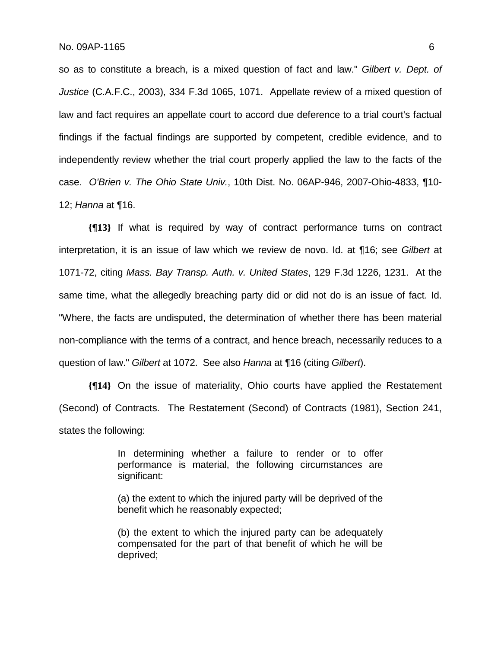so as to constitute a breach, is a mixed question of fact and law." *Gilbert v. Dept. of Justice* (C.A.F.C., 2003), 334 F.3d 1065, 1071. Appellate review of a mixed question of law and fact requires an appellate court to accord due deference to a trial court's factual findings if the factual findings are supported by competent, credible evidence, and to independently review whether the trial court properly applied the law to the facts of the case. *O'Brien v. The Ohio State Univ.*, 10th Dist. No. 06AP-946, 2007-Ohio-4833, ¶10- 12; *Hanna* at ¶16.

**{¶13}** If what is required by way of contract performance turns on contract interpretation, it is an issue of law which we review de novo. Id. at ¶16; see *Gilbert* at 1071-72, citing *Mass. Bay Transp. Auth. v. United States*, 129 F.3d 1226, 1231. At the same time, what the allegedly breaching party did or did not do is an issue of fact. Id. "Where, the facts are undisputed, the determination of whether there has been material non-compliance with the terms of a contract, and hence breach, necessarily reduces to a question of law." *Gilbert* at 1072. See also *Hanna* at ¶16 (citing *Gilbert*).

**{¶14}** On the issue of materiality, Ohio courts have applied the Restatement (Second) of Contracts. The Restatement (Second) of Contracts (1981), Section 241, states the following:

> In determining whether a failure to render or to offer performance is material, the following circumstances are significant:

> (a) the extent to which the injured party will be deprived of the benefit which he reasonably expected;

> (b) the extent to which the injured party can be adequately compensated for the part of that benefit of which he will be deprived;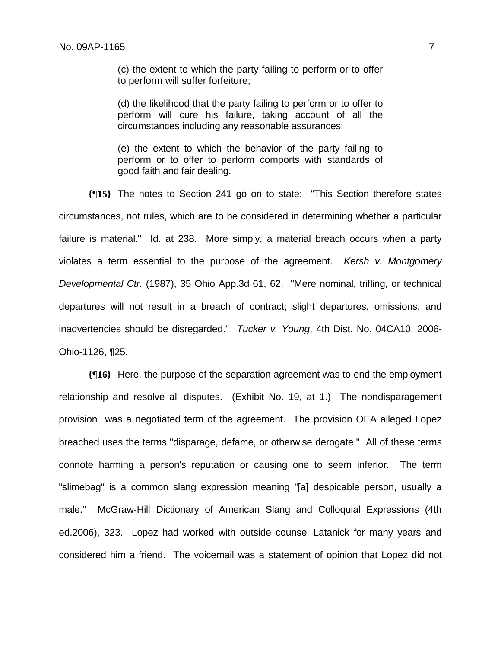(c) the extent to which the party failing to perform or to offer to perform will suffer forfeiture;

(d) the likelihood that the party failing to perform or to offer to perform will cure his failure, taking account of all the circumstances including any reasonable assurances;

(e) the extent to which the behavior of the party failing to perform or to offer to perform comports with standards of good faith and fair dealing.

**{¶15}** The notes to Section 241 go on to state: "This Section therefore states circumstances, not rules, which are to be considered in determining whether a particular failure is material." Id. at 238. More simply, a material breach occurs when a party violates a term essential to the purpose of the agreement. *Kersh v. Montgomery Developmental Ctr.* (1987), 35 Ohio App.3d 61, 62. "Mere nominal, trifling, or technical departures will not result in a breach of contract; slight departures, omissions, and inadvertencies should be disregarded." *Tucker v. Young*, 4th Dist. No. 04CA10, 2006- Ohio-1126, ¶25.

**{¶16}** Here, the purpose of the separation agreement was to end the employment relationship and resolve all disputes. (Exhibit No. 19, at 1.) The nondisparagement provision was a negotiated term of the agreement. The provision OEA alleged Lopez breached uses the terms "disparage, defame, or otherwise derogate." All of these terms connote harming a person's reputation or causing one to seem inferior. The term "slimebag" is a common slang expression meaning "[a] despicable person, usually a male." McGraw-Hill Dictionary of American Slang and Colloquial Expressions (4th ed.2006), 323. Lopez had worked with outside counsel Latanick for many years and considered him a friend. The voicemail was a statement of opinion that Lopez did not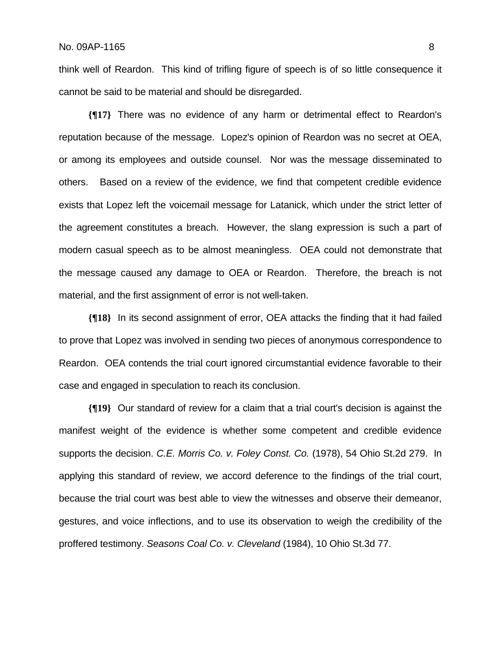think well of Reardon. This kind of trifling figure of speech is of so little consequence it cannot be said to be material and should be disregarded.

**{¶17}** There was no evidence of any harm or detrimental effect to Reardon's reputation because of the message. Lopez's opinion of Reardon was no secret at OEA, or among its employees and outside counsel. Nor was the message disseminated to others. Based on a review of the evidence, we find that competent credible evidence exists that Lopez left the voicemail message for Latanick, which under the strict letter of the agreement constitutes a breach. However, the slang expression is such a part of modern casual speech as to be almost meaningless. OEA could not demonstrate that the message caused any damage to OEA or Reardon. Therefore, the breach is not material, and the first assignment of error is not well-taken.

**{¶18}** In its second assignment of error, OEA attacks the finding that it had failed to prove that Lopez was involved in sending two pieces of anonymous correspondence to Reardon. OEA contends the trial court ignored circumstantial evidence favorable to their case and engaged in speculation to reach its conclusion.

**{¶19}** Our standard of review for a claim that a trial court's decision is against the manifest weight of the evidence is whether some competent and credible evidence supports the decision. *C.E. Morris Co. v. Foley Const. Co.* (1978), 54 Ohio St.2d 279. In applying this standard of review, we accord deference to the findings of the trial court, because the trial court was best able to view the witnesses and observe their demeanor, gestures, and voice inflections, and to use its observation to weigh the credibility of the proffered testimony. *Seasons Coal Co. v. Cleveland* (1984), 10 Ohio St.3d 77.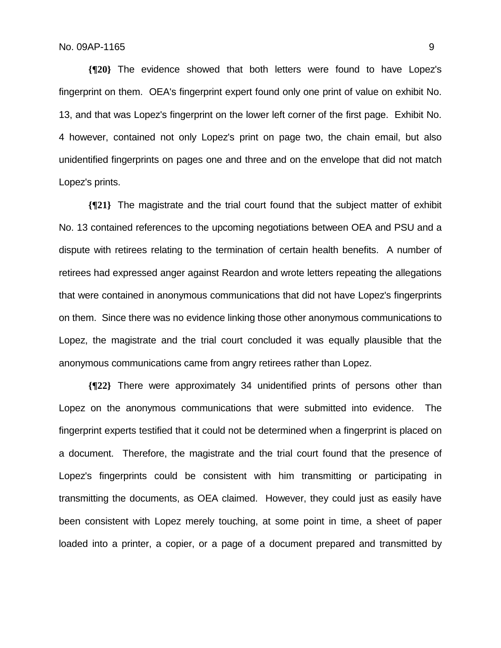**{¶20}** The evidence showed that both letters were found to have Lopez's fingerprint on them. OEA's fingerprint expert found only one print of value on exhibit No. 13, and that was Lopez's fingerprint on the lower left corner of the first page. Exhibit No. 4 however, contained not only Lopez's print on page two, the chain email, but also unidentified fingerprints on pages one and three and on the envelope that did not match Lopez's prints.

**{¶21}** The magistrate and the trial court found that the subject matter of exhibit No. 13 contained references to the upcoming negotiations between OEA and PSU and a dispute with retirees relating to the termination of certain health benefits. A number of retirees had expressed anger against Reardon and wrote letters repeating the allegations that were contained in anonymous communications that did not have Lopez's fingerprints on them. Since there was no evidence linking those other anonymous communications to Lopez, the magistrate and the trial court concluded it was equally plausible that the anonymous communications came from angry retirees rather than Lopez.

**{¶22}** There were approximately 34 unidentified prints of persons other than Lopez on the anonymous communications that were submitted into evidence. The fingerprint experts testified that it could not be determined when a fingerprint is placed on a document. Therefore, the magistrate and the trial court found that the presence of Lopez's fingerprints could be consistent with him transmitting or participating in transmitting the documents, as OEA claimed. However, they could just as easily have been consistent with Lopez merely touching, at some point in time, a sheet of paper loaded into a printer, a copier, or a page of a document prepared and transmitted by